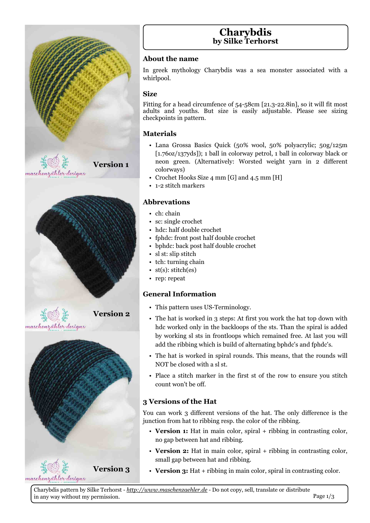# Fkdul eglv

el Vlanh Whukruvw

Der xwwkh qdp h

Lq juhhn p|wkrorj| Fkdu|eglv zdv d vhd prqwhu dvvrfldwhg zlwk d zkluosrro1

 $V1$ } h

Ilwwgiirud khdg flufxpihgfh ri 8708; fp ^54160551; lg`/ vr lwz looilwp rww dgxow dqg | rxwkv1 Exw vl}h Iv hdvloj dgmxwdech1 Sohdvh vhh vl}lqj fkhfnsrlqwlqsdwhuq1

P dwhuldov

§ Odgd Jurwd Edvlfv Txlfn +83( zrro/ 83( sro| dfu| olf > 83j 2458p 441 9r}246: | gv`, >4 edoolg froruzd| shwuro/4 edoolg froruzd| eodfn ru  $qhrq$  juhhq 1 +Dowhuqdwlyhd = Z ruwwhq z hljkw | duq  $lq$  5 qliihuhqw

Yhuvlr q 4

- S FurfkhwKrrnv VI}h 7 p p ^J`dgg 718 p p ^K`
- § 405 www.b p dunhuv

froruz dlv.

Deeuhydwr gv

- $§$  f k=f kdlq
- $§$  vf=vlqj oh fur fkhw
- $\S$  kgf=kdoj grxednfurfkhw
- § iskgf=iurqwsrwwkdoigrxednfurfkhw
- § eskgf=edfnsrvwkdoigrxednfurfkhw
- § vow±vds wwfk
- § wk=wkuqlqj fkdlq
- S www.=www.k+hv.
- $\S$  uhs=uhshdw

JhqhudoLqirupdwlrq

Yhuvlr q 5

- § Wklvsdwhuq xvhv XVOWhup Iqrorj | 1
- § With kdwlv z r unhg Iq 6 whosv=Dwiluwy r x z r un with kdwwrs gr z q z lwk kgf zrunhg rqq lq wkh edfnorrsv riwkh ww1Wkdq wkh vsludolv dgghg e| zruniqj vo ww iq iurqvorrsv z kifk uhp diqhg iuhh 1 Dwodwy rx z loo dgg wkh uleelgi z klfk lvexlog ridowhugdwigjeskgf\*vdgg iskgf\*v1
	- § With kdwlv z r unhg Iq vsludour xqgv1Wklv p hdqv/ wkdwwkh ur xqgv z loo ORWeh for yha z lyk d yovvi
	- § Sodfh d wwwfk p dunhulq wkh iluwww.riwkh urz wr hqvxuh | rx wwwfk frxqwzrq\*wehrii1

6 Yhuvir avriwkh Kdw

\rx fdg zrun 6 gliihuhawyhuylray ri wkh kdwl Wkh rad gliihuhafh ly wkh maqfwlrqiurp kdwwruleelgjuhvs1wkhfroruriwkhuleelgj1

- § Yhuvirq 4=Kdwlq pdlq froru/vsludo. uleelqj lq frqwudwlqj froru/ qr j ds ehvz hhq kdwdqg uleelqj 1
- § Yhuvirq 5=Kdwlq pdlq froru/ vsludo. uleelqj lq frqwudvwlqj froru/ vp dooj ds ehvz hhq kdwdqq uleelqj 1
- Yhuvlr q 6 § Yhuvirq 6=Kdw. uleelqjlqpdlqfroru/vsludolqfrqwudwwlqjfroru1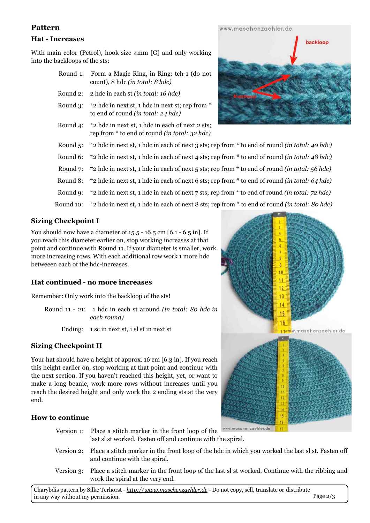## **Sdwhuq**

#### K dw0Lqf uhdvhv

Z lwk p dlq froru +Shwuro,/ kr rn vl}h 7p p  $\sqrt{3}$  dqg rqo | z runlqj lqwr wkhedfnor r sv r i wkh ww=

| Urxqg $4=$ I rup d P dj If Ulqj / Iq Ulqj = $wk$ 04 + gr qrw<br>$frxqw/$ ; kgf $dqwwd$ c=; kgf,                       |
|-----------------------------------------------------------------------------------------------------------------------|
| Ur xqg 5= 5 kgf lq hdfk ww+lq wr wdo = 49 kgf,                                                                        |
| Urxqg 6= -5 kgf lq qh{www/4 kgf lq qh{www.uhsiurp -<br>wrhqg riurxqg +lqwrwdo⊨57 kgf,                                 |
| Ur x q $7 = -5$ kg f lq q h { www 4 kg f lq hd f k r i q h { w 5 w $\sim$<br>uhsiurp - wrhqg riurxqg +lqwrwdo⊨65 kgf, |
| Urxqg 8= $-5$ kgflqqh{www/4 kgflqhdfkriqh{w6 ww>uhsiurp - wrhqgriurxqg +lqwrwdo=73 kgf,                               |
| Urxqg 9= $-5$ kgflqqh{www/4 kgflqhdfkriqh{w7 ww>uhsiurp - wrhqgriurxqg +lqwrwdo=7; kgf,                               |
| Urxqg:= -5 kgflqqh{www/4 kgflqhdfkriqh{w8 ww>uhsiurp - wrhqgriurxqg +lqwrwdo=89 kgf,                                  |
| Urxqg; = -5 kgflqqh{www/4 kgflqhdfkriqh{w9 ww>uhsiurp - wrhqgriurxqg +lqwrwdo=97 kgf,                                 |
| Urxqg $\le$ -5 kgf lq qh{www/4 kgf lq hdfk riqh{w. ww>uhsiurp - wrhqg riurxqg +lq wrwdo=:5 kgf,                       |
| Urxqg43= -5 kgflqqh{ww√/4 kgflqhdfkriqh{w; ww>uhsiurp - wrhqgriurxqg+lqwrwdo⊨;3 kgf,                                  |

### Vl} lqj Fk hf ns r lqwL

\ r x vkr xog qr z kdyhdgldp hwhur i 4818 04918 fp ^9140918 lq`1Li | r x uhdf k wklvgldp hwhuhduolhurq/ vwr s z runlqj lqfuhdvhvdwwkdw sr lqwdqg f r qwlqxhz lwk Ur xqg 441Li | r xugldp hwhulv vp doohu/ z run p ruhlqfuhdvlqj ur z v1Z lwk hdf k dgglwlrqdour z z run 4p ruhkgf ehwz hhhq hdf k r i wkh kgf 0qf uhdvhv1

K dwf r awax ha 0ar p r uh laf uhdvhv

Uhp hp ehu=Rq $d$  z run lqwr wkhedfnor r s r i wkh ww $\$$ 

Ur xqg 44 054 = 4 kgf lq hdf k wdur xqg  $Hq$  w wdo=; 3 kgf lq hdf k ur xqq, Hqglqj =  $4$  vf lq qh{ www 4 vovwlq qh{ www

VI} lqj Fk hf ns r lqwLL

\ r xukdwvkr xog kdyhdkhlj kwr i dssur {149 fp ^916 lq`1Li | r x uhdf k wkly khlj kwhdudhurq/ wwr s z runlqj dwwkdwsr lqwdqq frqwlqxh z lwk wkh qh{ wvhf wlrq1Li | r x kdyhq\*wuhdf khg wklv khlj kw/ | hw/ ruz dqwwr p dnh d orqj ehdqlh/ z run p ruh ur z v z lwkr xwlqfuhdvhv xqwlo| r x uhdf k wkh ghvluhg khlj kwdqg rqd z run wkh 5 hqglqj vwy dwwkh yhu hqg1

K r z wr f r qwdqxh

| Yhuvirq 4= Sodfh d wlwfk p dunhu lq wkhiurqworrs riwkh<br>odwwowzrunhg 11 dwhqriidqg frqwlqxhzlwk wkh vsludd                               |
|--------------------------------------------------------------------------------------------------------------------------------------------|
| Yhuvirq 5= Sodfh d wwwfk p dunhu lq wkh iurqworrs riwkh kgflqzklfk   rxz runhg wkh odww o wull dwohq rii<br>dag frawlaxh z lwk wkh vsludol |
| Yhuvirq 6= Sodfh d wlwfk pdunhu lqwkh iurqworrs riwkh odwwo w zrunhg 1 Frqwlqxh z lwkwkh uleelgjdgg<br>z r un wkh vsludodwwkh yhul hqq1    |
| Fkdu eglvsdwmluqe VlonhWhukruvw0 <u>kwns=22zzzzpoldvfkhq}dhkohu1gh</u> 0Grqrwfrs /vhoo/wudqvodwhru.glvwulexwh                              |